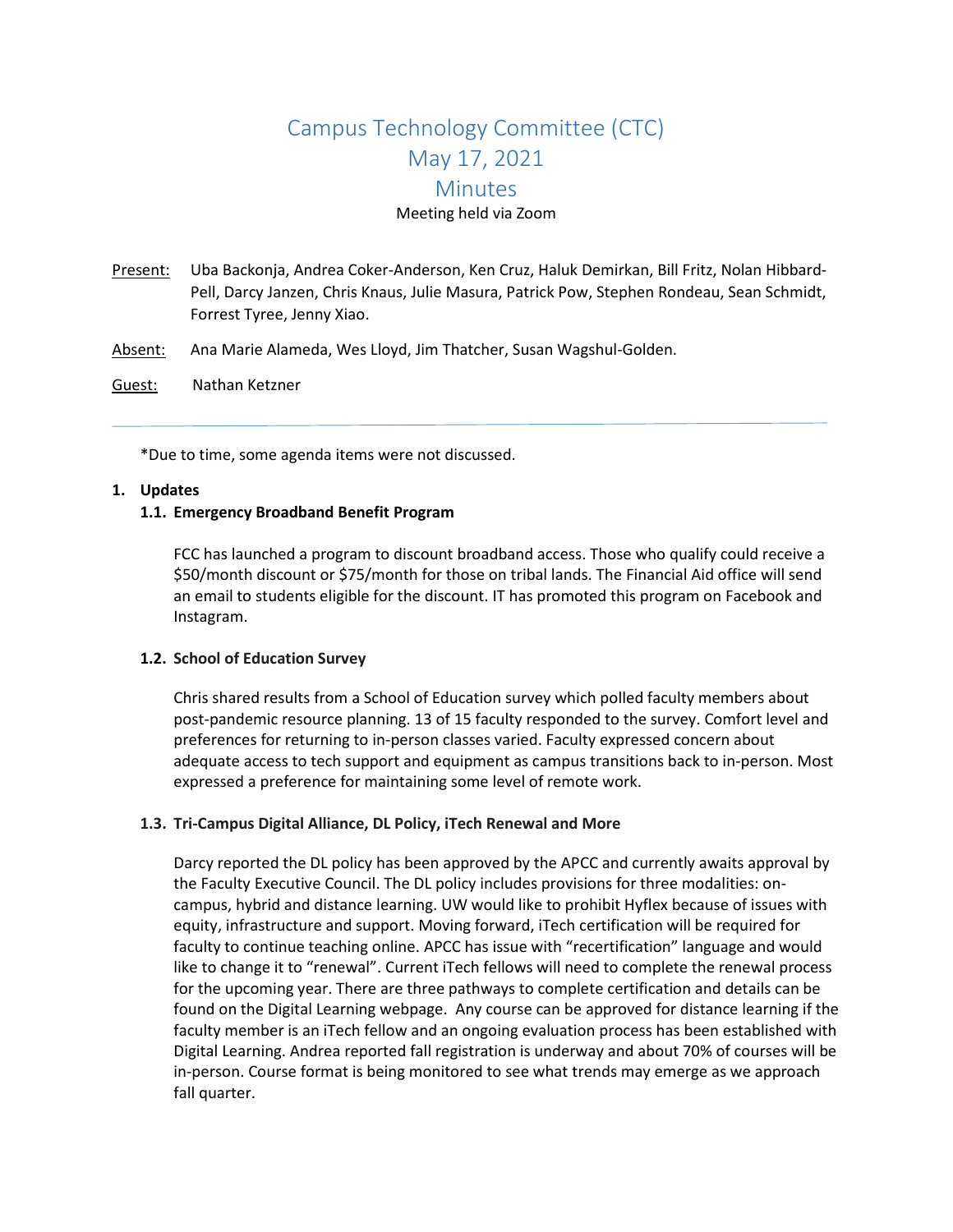# Campus Technology Committee (CTC) May 17, 2021 **Minutes** Meeting held via Zoom

- Present: Uba Backonja, Andrea Coker-Anderson, Ken Cruz, Haluk Demirkan, Bill Fritz, Nolan Hibbard-Pell, Darcy Janzen, Chris Knaus, Julie Masura, Patrick Pow, Stephen Rondeau, Sean Schmidt, Forrest Tyree, Jenny Xiao.
- Absent: Ana Marie Alameda, Wes Lloyd, Jim Thatcher, Susan Wagshul-Golden.
- Guest: Nathan Ketzner

\*Due to time, some agenda items were not discussed.

#### **1. Updates**

#### **1.1. Emergency Broadband Benefit Program**

FCC has launched a program to discount broadband access. Those who qualify could receive a \$50/month discount or \$75/month for those on tribal lands. The Financial Aid office will send an email to students eligible for the discount. IT has promoted this program on Facebook and Instagram.

# **1.2. School of Education Survey**

Chris shared results from a School of Education survey which polled faculty members about post-pandemic resource planning. 13 of 15 faculty responded to the survey. Comfort level and preferences for returning to in-person classes varied. Faculty expressed concern about adequate access to tech support and equipment as campus transitions back to in-person. Most expressed a preference for maintaining some level of remote work.

# **1.3. Tri-Campus Digital Alliance, DL Policy, iTech Renewal and More**

Darcy reported the DL policy has been approved by the APCC and currently awaits approval by the Faculty Executive Council. The DL policy includes provisions for three modalities: oncampus, hybrid and distance learning. UW would like to prohibit Hyflex because of issues with equity, infrastructure and support. Moving forward, iTech certification will be required for faculty to continue teaching online. APCC has issue with "recertification" language and would like to change it to "renewal". Current iTech fellows will need to complete the renewal process for the upcoming year. There are three pathways to complete certification and details can be found on the Digital Learning webpage. Any course can be approved for distance learning if the faculty member is an iTech fellow and an ongoing evaluation process has been established with Digital Learning. Andrea reported fall registration is underway and about 70% of courses will be in-person. Course format is being monitored to see what trends may emerge as we approach fall quarter.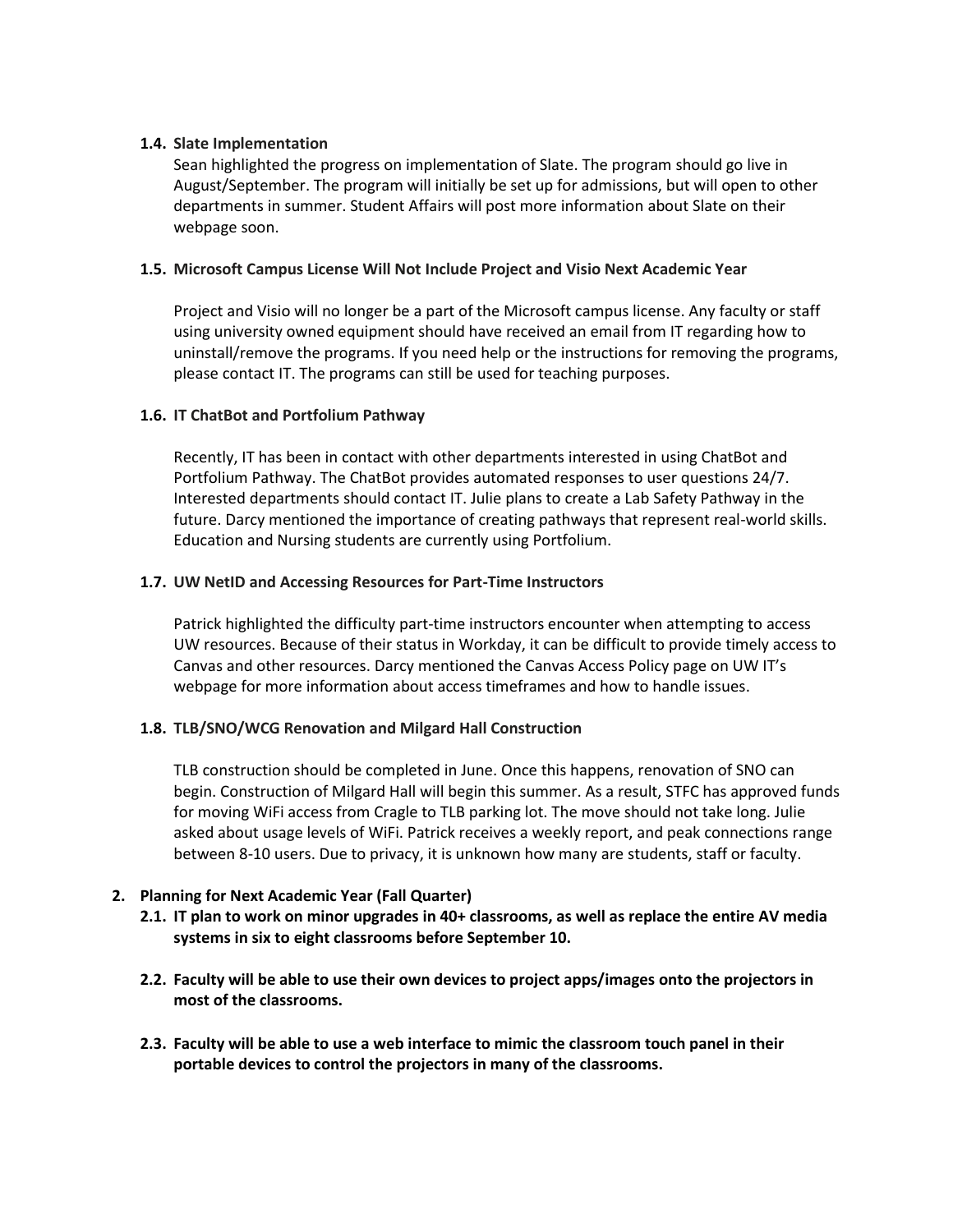# **1.4. Slate Implementation**

Sean highlighted the progress on implementation of Slate. The program should go live in August/September. The program will initially be set up for admissions, but will open to other departments in summer. Student Affairs will post more information about Slate on their webpage soon.

### **1.5. Microsoft Campus License Will Not Include Project and Visio Next Academic Year**

Project and Visio will no longer be a part of the Microsoft campus license. Any faculty or staff using university owned equipment should have received an email from IT regarding how to uninstall/remove the programs. If you need help or the instructions for removing the programs, please contact IT. The programs can still be used for teaching purposes.

# **1.6. IT ChatBot and Portfolium Pathway**

Recently, IT has been in contact with other departments interested in using ChatBot and Portfolium Pathway. The ChatBot provides automated responses to user questions 24/7. Interested departments should contact IT. Julie plans to create a Lab Safety Pathway in the future. Darcy mentioned the importance of creating pathways that represent real-world skills. Education and Nursing students are currently using Portfolium.

#### **1.7. UW NetID and Accessing Resources for Part-Time Instructors**

Patrick highlighted the difficulty part-time instructors encounter when attempting to access UW resources. Because of their status in Workday, it can be difficult to provide timely access to Canvas and other resources. Darcy mentioned the Canvas Access Policy page on UW IT's webpage for more information about access timeframes and how to handle issues.

# **1.8. TLB/SNO/WCG Renovation and Milgard Hall Construction**

TLB construction should be completed in June. Once this happens, renovation of SNO can begin. Construction of Milgard Hall will begin this summer. As a result, STFC has approved funds for moving WiFi access from Cragle to TLB parking lot. The move should not take long. Julie asked about usage levels of WiFi. Patrick receives a weekly report, and peak connections range between 8-10 users. Due to privacy, it is unknown how many are students, staff or faculty.

# **2. Planning for Next Academic Year (Fall Quarter)**

- **2.1. IT plan to work on minor upgrades in 40+ classrooms, as well as replace the entire AV media systems in six to eight classrooms before September 10.**
- **2.2. Faculty will be able to use their own devices to project apps/images onto the projectors in most of the classrooms.**
- **2.3. Faculty will be able to use a web interface to mimic the classroom touch panel in their portable devices to control the projectors in many of the classrooms.**